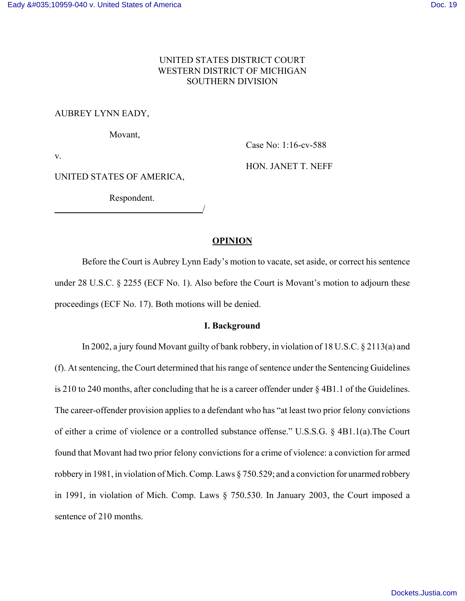# UNITED STATES DISTRICT COURT WESTERN DISTRICT OF MICHIGAN SOUTHERN DIVISION

## AUBREY LYNN EADY,

Movant,

Case No: 1:16-cv-588

v.

HON. JANET T. NEFF

# UNITED STATES OF AMERICA,

Respondent.

<u>/</u>

# **OPINION**

Before the Court is Aubrey Lynn Eady's motion to vacate, set aside, or correct his sentence under 28 U.S.C. § 2255 (ECF No. 1). Also before the Court is Movant's motion to adjourn these proceedings (ECF No. 17). Both motions will be denied.

### **I. Background**

In 2002, a jury found Movant guilty of bank robbery, in violation of 18 U.S.C. § 2113(a) and (f). At sentencing, the Court determined that his range of sentence under the Sentencing Guidelines is 210 to 240 months, after concluding that he is a career offender under § 4B1.1 of the Guidelines. The career-offender provision applies to a defendant who has "at least two prior felony convictions of either a crime of violence or a controlled substance offense." U.S.S.G. § 4B1.1(a).The Court found that Movant had two prior felony convictions for a crime of violence: a conviction for armed robbery in 1981, in violation of Mich. Comp. Laws § 750.529; and a conviction for unarmed robbery in 1991, in violation of Mich. Comp. Laws § 750.530. In January 2003, the Court imposed a sentence of 210 months.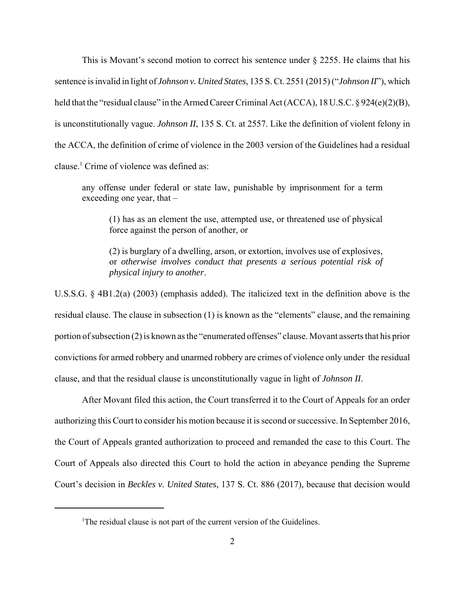This is Movant's second motion to correct his sentence under § 2255. He claims that his sentence is invalid in light of *Johnson v. United States*, 135 S. Ct. 2551 (2015) ("*Johnson II*"), which held that the "residual clause" in the Armed Career Criminal Act (ACCA), 18 U.S.C. § 924(e)(2)(B), is unconstitutionally vague. *Johnson II*, 135 S. Ct. at 2557. Like the definition of violent felony in the ACCA, the definition of crime of violence in the 2003 version of the Guidelines had a residual clause.<sup>1</sup> Crime of violence was defined as:

any offense under federal or state law, punishable by imprisonment for a term exceeding one year, that –

(1) has as an element the use, attempted use, or threatened use of physical force against the person of another, or

(2) is burglary of a dwelling, arson, or extortion, involves use of explosives, or *otherwise involves conduct that presents a serious potential risk of physical injury to another*.

U.S.S.G. § 4B1.2(a) (2003) (emphasis added). The italicized text in the definition above is the residual clause. The clause in subsection (1) is known as the "elements" clause, and the remaining portion of subsection (2) is known as the "enumerated offenses" clause. Movant asserts that his prior convictions for armed robbery and unarmed robbery are crimes of violence only under the residual clause, and that the residual clause is unconstitutionally vague in light of *Johnson II*.

After Movant filed this action, the Court transferred it to the Court of Appeals for an order authorizing this Court to consider his motion because it is second or successive. In September 2016, the Court of Appeals granted authorization to proceed and remanded the case to this Court. The Court of Appeals also directed this Court to hold the action in abeyance pending the Supreme Court's decision in *Beckles v. United States*, 137 S. Ct. 886 (2017), because that decision would

<sup>&</sup>lt;sup>1</sup>The residual clause is not part of the current version of the Guidelines.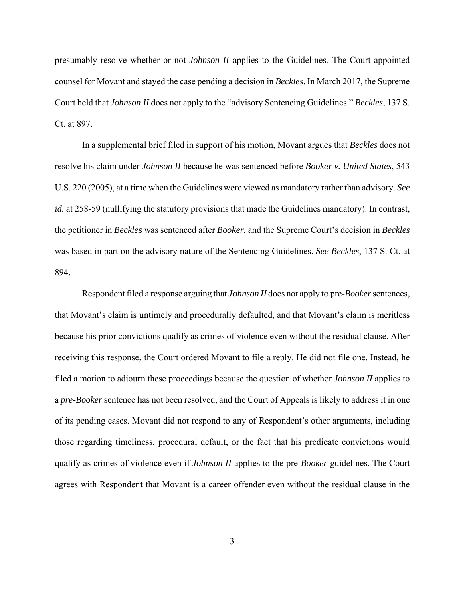presumably resolve whether or not *Johnson II* applies to the Guidelines. The Court appointed counsel for Movant and stayed the case pending a decision in *Beckles*. In March 2017, the Supreme Court held that *Johnson II* does not apply to the "advisory Sentencing Guidelines." *Beckles*, 137 S. Ct. at 897.

In a supplemental brief filed in support of his motion, Movant argues that *Beckles* does not resolve his claim under *Johnson II* because he was sentenced before *Booker v. United States*, 543 U.S. 220 (2005), at a time when the Guidelines were viewed as mandatory rather than advisory. *See id.* at 258-59 (nullifying the statutory provisions that made the Guidelines mandatory). In contrast, the petitioner in *Beckles* was sentenced after *Booker*, and the Supreme Court's decision in *Beckles* was based in part on the advisory nature of the Sentencing Guidelines. *See Beckles*, 137 S. Ct. at 894.

Respondent filed a response arguing that *Johnson II* does not apply to pre-*Booker* sentences, that Movant's claim is untimely and procedurally defaulted, and that Movant's claim is meritless because his prior convictions qualify as crimes of violence even without the residual clause. After receiving this response, the Court ordered Movant to file a reply. He did not file one. Instead, he filed a motion to adjourn these proceedings because the question of whether *Johnson II* applies to a *pre-Booker* sentence has not been resolved, and the Court of Appeals is likely to address it in one of its pending cases. Movant did not respond to any of Respondent's other arguments, including those regarding timeliness, procedural default, or the fact that his predicate convictions would qualify as crimes of violence even if *Johnson II* applies to the pre-*Booker* guidelines. The Court agrees with Respondent that Movant is a career offender even without the residual clause in the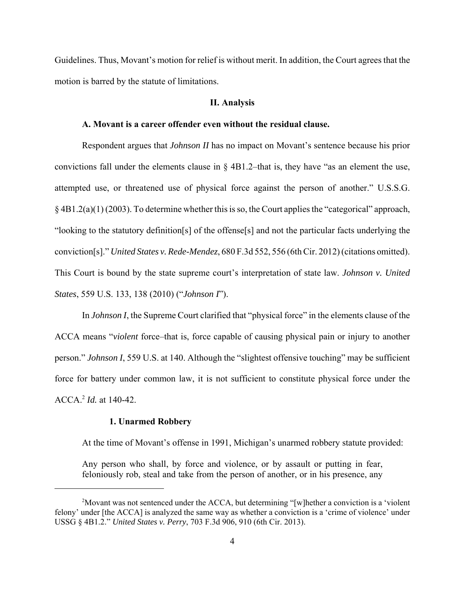Guidelines. Thus, Movant's motion for relief is without merit. In addition, the Court agrees that the motion is barred by the statute of limitations.

#### **II. Analysis**

### **A. Movant is a career offender even without the residual clause.**

Respondent argues that *Johnson II* has no impact on Movant's sentence because his prior convictions fall under the elements clause in § 4B1.2–that is, they have "as an element the use, attempted use, or threatened use of physical force against the person of another." U.S.S.G. § 4B1.2(a)(1) (2003). To determine whether this is so, the Court applies the "categorical" approach, "looking to the statutory definition[s] of the offense[s] and not the particular facts underlying the conviction[s]." *United States v. Rede-Mendez*, 680 F.3d 552, 556 (6th Cir. 2012) (citations omitted). This Court is bound by the state supreme court's interpretation of state law. *Johnson v. United States*, 559 U.S. 133, 138 (2010) ("*Johnson I*").

In *Johnson I*, the Supreme Court clarified that "physical force" in the elements clause of the ACCA means "*violent* force–that is, force capable of causing physical pain or injury to another person." *Johnson I*, 559 U.S. at 140. Although the "slightest offensive touching" may be sufficient force for battery under common law, it is not sufficient to constitute physical force under the ACCA.<sup>2</sup> *Id.* at 140-42.

#### **1. Unarmed Robbery**

At the time of Movant's offense in 1991, Michigan's unarmed robbery statute provided:

Any person who shall, by force and violence, or by assault or putting in fear, feloniously rob, steal and take from the person of another, or in his presence, any

<sup>2</sup>Movant was not sentenced under the ACCA, but determining "[w]hether a conviction is a 'violent felony' under [the ACCA] is analyzed the same way as whether a conviction is a 'crime of violence' under USSG § 4B1.2." *United States v. Perry*, 703 F.3d 906, 910 (6th Cir. 2013).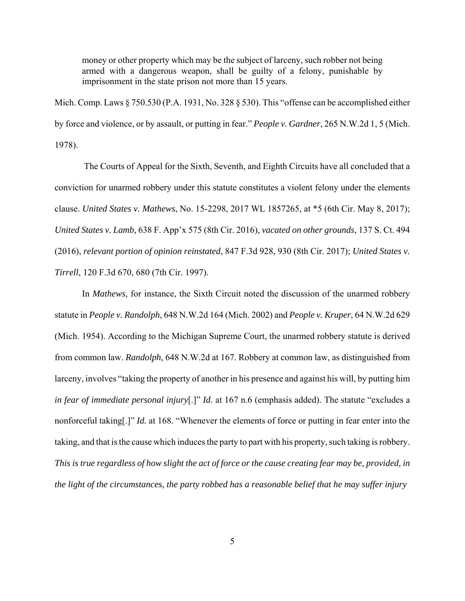money or other property which may be the subject of larceny, such robber not being armed with a dangerous weapon, shall be guilty of a felony, punishable by imprisonment in the state prison not more than 15 years.

Mich. Comp. Laws § 750.530 (P.A. 1931, No. 328 § 530). This "offense can be accomplished either by force and violence, or by assault, or putting in fear." *People v. Gardner*, 265 N.W.2d 1, 5 (Mich. 1978).

 The Courts of Appeal for the Sixth, Seventh, and Eighth Circuits have all concluded that a conviction for unarmed robbery under this statute constitutes a violent felony under the elements clause. *United States v. Mathews*, No. 15-2298, 2017 WL 1857265, at \*5 (6th Cir. May 8, 2017); *United States v. Lamb*, 638 F. App'x 575 (8th Cir. 2016), *vacated on other grounds*, 137 S. Ct. 494 (2016), *relevant portion of opinion reinstated*, 847 F.3d 928, 930 (8th Cir. 2017); *United States v. Tirrell*, 120 F.3d 670, 680 (7th Cir. 1997).

In *Mathews*, for instance, the Sixth Circuit noted the discussion of the unarmed robbery statute in *People v. Randolph*, 648 N.W.2d 164 (Mich. 2002) and *People v. Kruper*, 64 N.W.2d 629 (Mich. 1954). According to the Michigan Supreme Court, the unarmed robbery statute is derived from common law. *Randolph*, 648 N.W.2d at 167. Robbery at common law, as distinguished from larceny, involves "taking the property of another in his presence and against his will, by putting him *in fear of immediate personal injury*[.]" *Id.* at 167 n.6 (emphasis added). The statute "excludes a nonforceful taking[.]" *Id.* at 168. "Whenever the elements of force or putting in fear enter into the taking, and that is the cause which induces the party to part with his property, such taking is robbery. *This is true regardless of how slight the act of force or the cause creating fear may be, provided, in the light of the circumstances, the party robbed has a reasonable belief that he may suffer injury*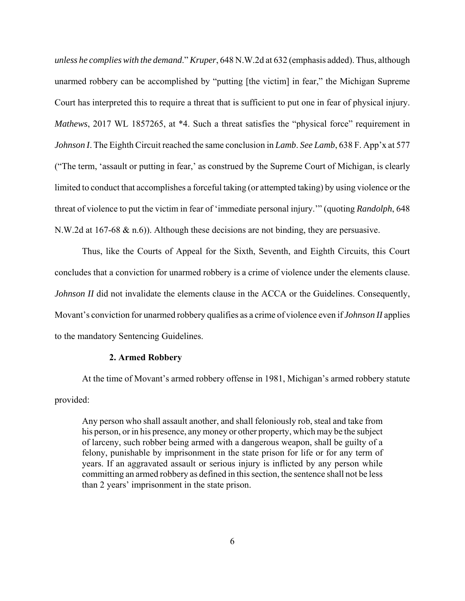*unless he complies with the demand*." *Kruper*, 648 N.W.2d at 632 (emphasis added). Thus, although unarmed robbery can be accomplished by "putting [the victim] in fear," the Michigan Supreme Court has interpreted this to require a threat that is sufficient to put one in fear of physical injury. *Mathews*, 2017 WL 1857265, at \*4. Such a threat satisfies the "physical force" requirement in *Johnson I*. The Eighth Circuit reached the same conclusion in *Lamb*. *See Lamb*, 638 F. App'x at 577 ("The term, 'assault or putting in fear,' as construed by the Supreme Court of Michigan, is clearly limited to conduct that accomplishes a forceful taking (or attempted taking) by using violence or the threat of violence to put the victim in fear of 'immediate personal injury.'" (quoting *Randolph*, 648 N.W.2d at 167-68  $\&$  n.6)). Although these decisions are not binding, they are persuasive.

Thus, like the Courts of Appeal for the Sixth, Seventh, and Eighth Circuits, this Court concludes that a conviction for unarmed robbery is a crime of violence under the elements clause. *Johnson II* did not invalidate the elements clause in the ACCA or the Guidelines. Consequently, Movant's conviction for unarmed robbery qualifies as a crime of violence even if *Johnson II* applies to the mandatory Sentencing Guidelines.

## **2. Armed Robbery**

At the time of Movant's armed robbery offense in 1981, Michigan's armed robbery statute provided:

Any person who shall assault another, and shall feloniously rob, steal and take from his person, or in his presence, any money or other property, which may be the subject of larceny, such robber being armed with a dangerous weapon, shall be guilty of a felony, punishable by imprisonment in the state prison for life or for any term of years. If an aggravated assault or serious injury is inflicted by any person while committing an armed robbery as defined in this section, the sentence shall not be less than 2 years' imprisonment in the state prison.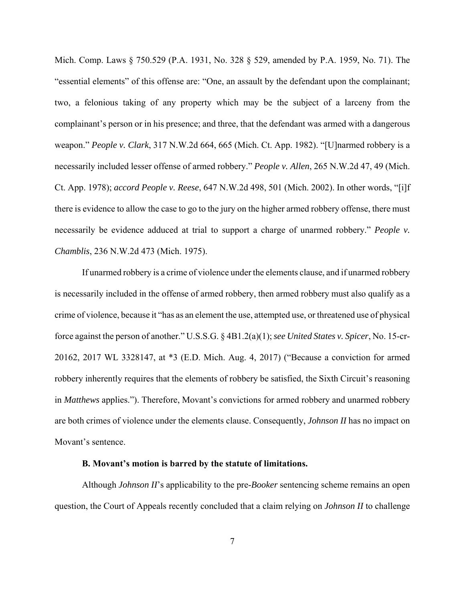Mich. Comp. Laws § 750.529 (P.A. 1931, No. 328 § 529, amended by P.A. 1959, No. 71). The "essential elements" of this offense are: "One, an assault by the defendant upon the complainant; two, a felonious taking of any property which may be the subject of a larceny from the complainant's person or in his presence; and three, that the defendant was armed with a dangerous weapon." *People v. Clark*, 317 N.W.2d 664, 665 (Mich. Ct. App. 1982). "[U]narmed robbery is a necessarily included lesser offense of armed robbery." *People v. Allen*, 265 N.W.2d 47, 49 (Mich. Ct. App. 1978); *accord People v. Reese*, 647 N.W.2d 498, 501 (Mich. 2002). In other words, "[i]f there is evidence to allow the case to go to the jury on the higher armed robbery offense, there must necessarily be evidence adduced at trial to support a charge of unarmed robbery." *People v. Chamblis*, 236 N.W.2d 473 (Mich. 1975).

If unarmed robbery is a crime of violence under the elements clause, and if unarmed robbery is necessarily included in the offense of armed robbery, then armed robbery must also qualify as a crime of violence, because it "has as an element the use, attempted use, or threatened use of physical force against the person of another." U.S.S.G. § 4B1.2(a)(1); *see United States v. Spicer*, No. 15-cr-20162, 2017 WL 3328147, at \*3 (E.D. Mich. Aug. 4, 2017) ("Because a conviction for armed robbery inherently requires that the elements of robbery be satisfied, the Sixth Circuit's reasoning in *Matthews* applies."). Therefore, Movant's convictions for armed robbery and unarmed robbery are both crimes of violence under the elements clause. Consequently, *Johnson II* has no impact on Movant's sentence.

### **B. Movant's motion is barred by the statute of limitations.**

Although *Johnson II*'s applicability to the pre-*Booker* sentencing scheme remains an open question, the Court of Appeals recently concluded that a claim relying on *Johnson II* to challenge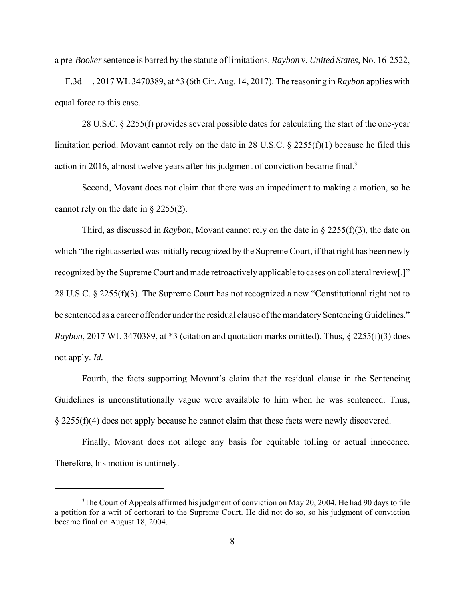a pre-*Booker* sentence is barred by the statute of limitations. *Raybon v. United States*, No. 16-2522, — F.3d —, 2017 WL 3470389, at \*3 (6th Cir. Aug. 14, 2017). The reasoning in *Raybon* applies with equal force to this case.

28 U.S.C. § 2255(f) provides several possible dates for calculating the start of the one-year limitation period. Movant cannot rely on the date in 28 U.S.C. § 2255(f)(1) because he filed this action in 2016, almost twelve years after his judgment of conviction became final.<sup>3</sup>

Second, Movant does not claim that there was an impediment to making a motion, so he cannot rely on the date in § 2255(2).

Third, as discussed in *Raybon*, Movant cannot rely on the date in § 2255(f)(3), the date on which "the right asserted was initially recognized by the Supreme Court, if that right has been newly recognized by the Supreme Court and made retroactively applicable to cases on collateral review[.]" 28 U.S.C. § 2255(f)(3). The Supreme Court has not recognized a new "Constitutional right not to be sentenced as a career offender under the residual clause of the mandatory Sentencing Guidelines." *Raybon*, 2017 WL 3470389, at  $*3$  (citation and quotation marks omitted). Thus,  $\S$  2255(f)(3) does not apply. *Id.*

Fourth, the facts supporting Movant's claim that the residual clause in the Sentencing Guidelines is unconstitutionally vague were available to him when he was sentenced. Thus, § 2255(f)(4) does not apply because he cannot claim that these facts were newly discovered.

Finally, Movant does not allege any basis for equitable tolling or actual innocence. Therefore, his motion is untimely.

<sup>&</sup>lt;sup>3</sup>The Court of Appeals affirmed his judgment of conviction on May 20, 2004. He had 90 days to file a petition for a writ of certiorari to the Supreme Court. He did not do so, so his judgment of conviction became final on August 18, 2004.